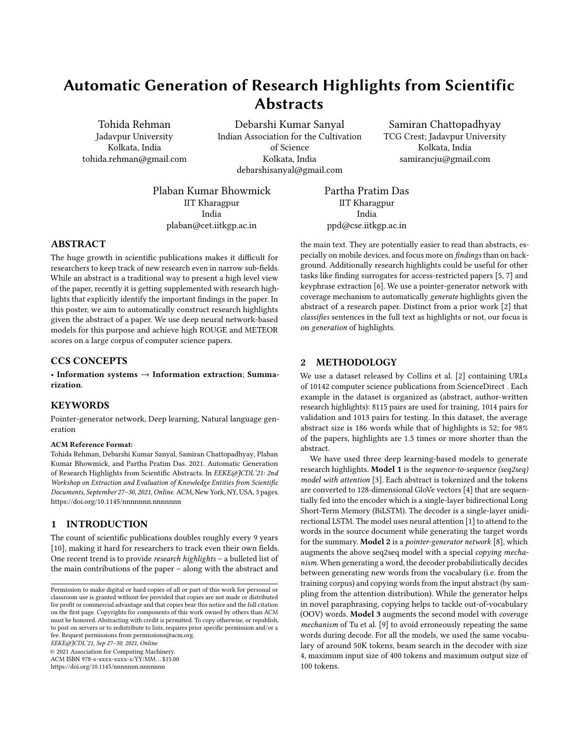# Automatic Generation of Research Highlights from Scientific **Abstracts**

Tohida Rehman Jadavpur University Kolkata, India tohida.rehman@gmail.com

Debarshi Kumar Sanyal Indian Association for the Cultivation of Science Kolkata, India debarshisanyal@gmail.com

Samiran Chattopadhyay TCG Crest; Jadavpur University Kolkata, India samirancju@gmail.com

Plaban Kumar Bhowmick IIT Kharagpur India plaban@cet.iitkgp.ac.in

Partha Pratim Das IIT Kharagpur India ppd@cse.iitkgp.ac.in

# ABSTRACT

The huge growth in scientific publications makes it difficult for researchers to keep track of new research even in narrow sub-fields. While an abstract is a traditional way to present a high level view of the paper, recently it is getting supplemented with research highlights that explicitly identify the important findings in the paper. In this poster, we aim to automatically construct research highlights given the abstract of a paper. We use deep neural network-based models for this purpose and achieve high ROUGE and METEOR scores on a large corpus of computer science papers.

#### CCS CONCEPTS

• Information systems  $\rightarrow$  Information extraction; Summarization.

# **KEYWORDS**

Pointer-generator network, Deep learning, Natural language generation

#### ACM Reference Format:

Tohida Rehman, Debarshi Kumar Sanyal, Samiran Chattopadhyay, Plaban Kumar Bhowmick, and Partha Pratim Das. 2021. Automatic Generation of Research Highlights from Scientific Abstracts. In EEKE@JCDL'21: 2nd Workshop on Extraction and Evaluation of Knowledge Entities from Scientific Documents, September 27–30, 2021, Online.ACM, New York, NY, USA, [3](#page-2-0) pages. <https://doi.org/10.1145/nnnnnnn.nnnnnnn>

# 1 INTRODUCTION

The count of scientific publications doubles roughly every 9 years [\[10\]](#page-2-1), making it hard for researchers to track even their own fields. One recent trend is to provide research highlights – a bulleted list of the main contributions of the paper – along with the abstract and

EEKE@JCDL'21, Sep 27–30, 2021, Online

© 2021 Association for Computing Machinery.

ACM ISBN 978-x-xxxx-xxxx-x/YY/MM. . . \$15.00 <https://doi.org/10.1145/nnnnnnn.nnnnnnn>

the main text. They are potentially easier to read than abstracts, especially on mobile devices, and focus more on findings than on background. Additionally research highlights could be useful for other tasks like finding surrogates for access-restricted papers [\[5,](#page-1-0) [7\]](#page-2-2) and keyphrase extraction [\[6\]](#page-2-3). We use a pointer-generator network with coverage mechanism to automatically generate highlights given the abstract of a research paper. Distinct from a prior work [\[2\]](#page-1-1) that classifies sentences in the full text as highlights or not, our focus is on generation of highlights.

## 2 METHODOLOGY

We use a dataset released by Collins et al. [\[2\]](#page-1-1) containing URLs of 10142 computer science publications from ScienceDirect . Each example in the dataset is organized as (abstract, author-written research highlights): 8115 pairs are used for training, 1014 pairs for validation and 1013 pairs for testing. In this dataset, the average abstract size is 186 words while that of highlights is 52; for 98% of the papers, highlights are 1.5 times or more shorter than the abstract.

We have used three deep learning-based models to generate research highlights. Model 1 is the sequence-to-sequence (seq2seq) model with attention [\[3\]](#page-1-2). Each abstract is tokenized and the tokens are converted to 128-dimensional GloVe vectors [\[4\]](#page-1-3) that are sequentially fed into the encoder which is a single-layer bidirectional Long Short-Term Memory (BiLSTM). The decoder is a single-layer unidirectional LSTM. The model uses neural attention [\[1\]](#page-1-4) to attend to the words in the source document while generating the target words for the summary. Model 2 is a pointer-generator network [\[8\]](#page-2-4), which augments the above seq2seq model with a special copying mechanism. When generating a word, the decoder probabilistically decides between generating new words from the vocabulary (i.e. from the training corpus) and copying words from the input abstract (by sampling from the attention distribution). While the generator helps in novel paraphrasing, copying helps to tackle out-of-vocabulary (OOV) words. Model 3 augments the second model with coverage mechanism of Tu et al. [\[9\]](#page-2-5) to avoid erroneously repeating the same words during decode. For all the models, we used the same vocabulary of around 50K tokens, beam search in the decoder with size 4, maximum input size of 400 tokens and maximum output size of 100 tokens.

Permission to make digital or hard copies of all or part of this work for personal or classroom use is granted without fee provided that copies are not made or distributed for profit or commercial advantage and that copies bear this notice and the full citation on the first page. Copyrights for components of this work owned by others than ACM must be honored. Abstracting with credit is permitted. To copy otherwise, or republish, to post on servers or to redistribute to lists, requires prior specific permission and/or a fee. Request permissions from permissions@acm.org.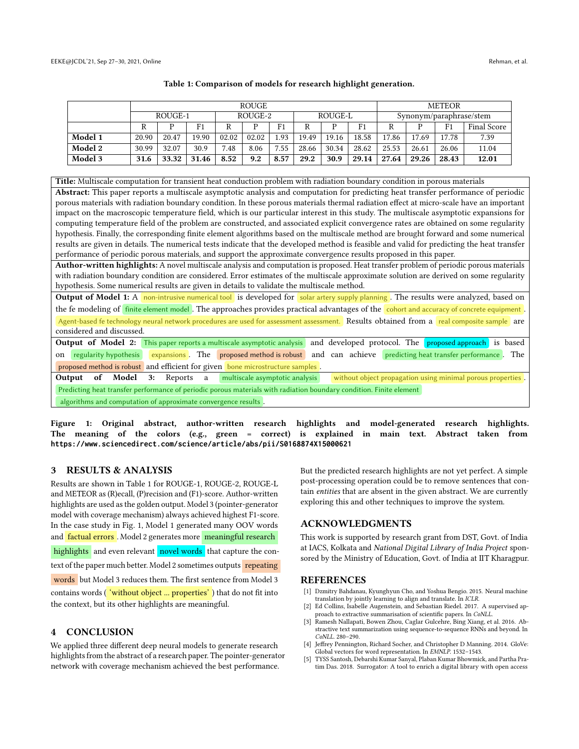<span id="page-1-5"></span>

|         | <b>ROUGE</b> |       |       |         |       |      |         |       |                | <b>METEOR</b>           |       |       |             |
|---------|--------------|-------|-------|---------|-------|------|---------|-------|----------------|-------------------------|-------|-------|-------------|
|         | ROUGE-1      |       |       | ROUGE-2 |       |      | ROUGE-L |       |                | Synonym/paraphrase/stem |       |       |             |
|         | R            |       | F1    |         |       | F1   | R       |       | F <sub>1</sub> | R                       |       | F1    | Final Score |
| Model 1 | 20.90        | 20.47 | 19.90 | 02.02   | 02.02 | l.93 | 19.49   | 19.16 | 18.58          | 17.86                   | 17.69 | 17.78 | 7.39        |
| Model 2 | 30.99        | 32.07 | 30.9  | 7.48    | 8.06  | 7.55 | 28.66   | 30.34 | 28.62          | 25.53                   | 26.61 | 26.06 | 11.04       |
| Model 3 | 31.6         | 33.32 | 31.46 | 8.52    | 9.2   | 8.57 | 29.2    | 30.9  | 29.14          | 27.64                   | 29.26 | 28.43 | 12.01       |

Table 1: Comparison of models for research highlight generation.

<span id="page-1-6"></span>Title: Multiscale computation for transient heat conduction problem with radiation boundary condition in porous materials Abstract: This paper reports a multiscale asymptotic analysis and computation for predicting heat transfer performance of periodic porous materials with radiation boundary condition. In these porous materials thermal radiation effect at micro-scale have an important impact on the macroscopic temperature field, which is our particular interest in this study. The multiscale asymptotic expansions for computing temperature field of the problem are constructed, and associated explicit convergence rates are obtained on some regularity hypothesis. Finally, the corresponding finite element algorithms based on the multiscale method are brought forward and some numerical results are given in details. The numerical tests indicate that the developed method is feasible and valid for predicting the heat transfer performance of periodic porous materials, and support the approximate convergence results proposed in this paper.

Author-written highlights: A novel multiscale analysis and computation is proposed. Heat transfer problem of periodic porous materials with radiation boundary condition are considered. Error estimates of the multiscale approximate solution are derived on some regularity hypothesis. Some numerical results are given in details to validate the multiscale method.

Output of Model 1: A non-intrusive numerical tool is developed for solar artery supply planning. The results were analyzed, based on the fe modeling of finite element model. The approaches provides practical advantages of the cohort and accuracy of concrete equipment Agent-based fe technology neural network procedures are used for assessment assessment. Results obtained from a real composite sample are considered and discussed.

Output of Model 2: This paper reports a multiscale asymptotic analysis and developed protocol. The proposed approach is based on regularity hypothesis expansions. The proposed method is robust and can achieve predicting heat transfer performance. The proposed method is robust and efficient for given bone microstructure samples.

Output of Model 3: Reports a multiscale asymptotic analysis without object propagation using minimal porous properties Predicting heat transfer performance of periodic porous materials with radiation boundary condition. Finite element algorithms and computation of approximate convergence results .

Figure 1: Original abstract, author-written research highlights and model-generated research highlights. The meaning of the colors (e.g., green = correct) is explained in main text. Abstract taken from **https://www.sciencedirect.com/science/article/abs/pii/S0168874X15000621**

## 3 RESULTS & ANALYSIS

Results are shown in Table [1](#page-1-5) for ROUGE-1, ROUGE-2, ROUGE-L and METEOR as (R)ecall, (P)recision and (F1)-score. Author-written highlights are used as the golden output. Model 3 (pointer-generator model with coverage mechanism) always achieved highest F1-score. In the case study in Fig. [1,](#page-1-6) Model 1 generated many OOV words and factual errors. Model 2 generates more meaningful research highlights and even relevant novel words that capture the context of the paper much better. Model 2 sometimes outputs repeating words but Model 3 reduces them. The first sentence from Model 3 contains words ( 'without object ... properties' ) that do not fit into the context, but its other highlights are meaningful.

#### 4 CONCLUSION

We applied three different deep neural models to generate research highlights from the abstract of a research paper. The pointer-generator network with coverage mechanism achieved the best performance.

But the predicted research highlights are not yet perfect. A simple post-processing operation could be to remove sentences that contain entities that are absent in the given abstract. We are currently exploring this and other techniques to improve the system.

### ACKNOWLEDGMENTS

This work is supported by research grant from DST, Govt. of India at IACS, Kolkata and National Digital Library of India Project sponsored by the Ministry of Education, Govt. of India at IIT Kharagpur.

### REFERENCES

- <span id="page-1-4"></span>[1] Dzmitry Bahdanau, Kyunghyun Cho, and Yoshua Bengio. 2015. Neural machine translation by jointly learning to align and translate. In ICLR.
- <span id="page-1-1"></span>[2] Ed Collins, Isabelle Augenstein, and Sebastian Riedel. 2017. A supervised approach to extractive summarisation of scientific papers. In CoNLL. [3] Ramesh Nallapati, Bowen Zhou, Caglar Gulcehre, Bing Xiang, et al. 2016. Ab-
- <span id="page-1-2"></span>stractive text summarization using sequence-to-sequence RNNs and beyond. In CoNLL. 280–290.
- <span id="page-1-3"></span>[4] Jeffrey Pennington, Richard Socher, and Christopher D Manning. 2014. GloVe: Global vectors for word representation. In EMNLP. 1532–1543.
- <span id="page-1-0"></span>[5] TYSS Santosh, Debarshi Kumar Sanyal, Plaban Kumar Bhowmick, and Partha Pratim Das. 2018. Surrogator: A tool to enrich a digital library with open access